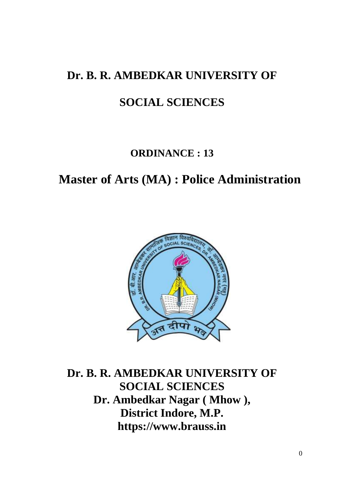## **Dr. B. R. AMBEDKAR UNIVERSITY OF**

# **SOCIAL SCIENCES**

### **ORDINANCE : 13**

# **Master of Arts (MA) : Police Administration**



**Dr. B. R. AMBEDKAR UNIVERSITY OF SOCIAL SCIENCES Dr. Ambedkar Nagar ( Mhow ), District Indore, M.P. https://www.brauss.in**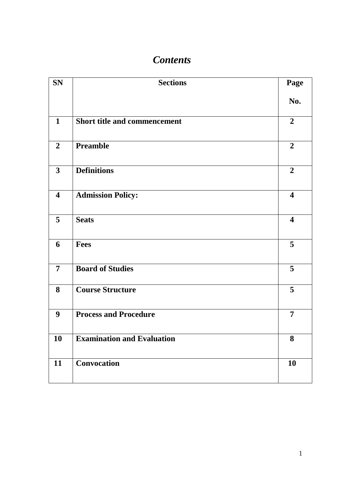## *Contents*

| <b>SN</b>               | <b>Sections</b>                     | Page                    |
|-------------------------|-------------------------------------|-------------------------|
|                         |                                     | No.                     |
| $\mathbf{1}$            | <b>Short title and commencement</b> | $\overline{2}$          |
| $\overline{2}$          | <b>Preamble</b>                     | $\overline{2}$          |
| $\mathbf{3}$            | <b>Definitions</b>                  | $\overline{2}$          |
| $\overline{\mathbf{4}}$ | <b>Admission Policy:</b>            | $\overline{\mathbf{4}}$ |
| 5                       | <b>Seats</b>                        | $\overline{\mathbf{4}}$ |
| 6                       | <b>Fees</b>                         | 5                       |
| $\overline{7}$          | <b>Board of Studies</b>             | 5                       |
| 8                       | <b>Course Structure</b>             | 5                       |
| 9                       | <b>Process and Procedure</b>        | $\overline{7}$          |
| 10                      | <b>Examination and Evaluation</b>   | 8                       |
| 11                      | Convocation                         | 10                      |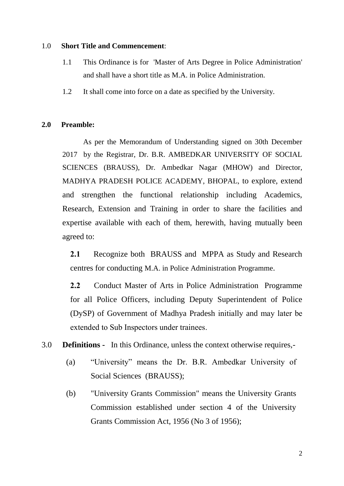#### 1.0 **Short Title and Commencement**:

- 1.1 This Ordinance is for 'Master of Arts Degree in Police Administration' and shall have a short title as M.A. in Police Administration.
- 1.2 It shall come into force on a date as specified by the University.

#### **2.0 Preamble:**

As per the Memorandum of Understanding signed on 30th December 2017 by the Registrar, Dr. B.R. AMBEDKAR UNIVERSITY OF SOCIAL SCIENCES (BRAUSS), Dr. Ambedkar Nagar (MHOW) and Director, MADHYA PRADESH POLICE ACADEMY, BHOPAL, to explore, extend and strengthen the functional relationship including Academics, Research, Extension and Training in order to share the facilities and expertise available with each of them, herewith, having mutually been agreed to:

**2.1** Recognize both BRAUSS and MPPA as Study and Research centres for conducting M.A. in Police Administration Programme.

**2.2** Conduct Master of Arts in Police Administration Programme for all Police Officers, including Deputy Superintendent of Police (DySP) of Government of Madhya Pradesh initially and may later be extended to Sub Inspectors under trainees.

3.0 **Definitions -** In this Ordinance, unless the context otherwise requires,-

- (a) "University" means the Dr. B.R. Ambedkar University of Social Sciences (BRAUSS);
- (b) "University Grants Commission" means the University Grants Commission established under section 4 of the University Grants Commission Act, 1956 (No 3 of 1956);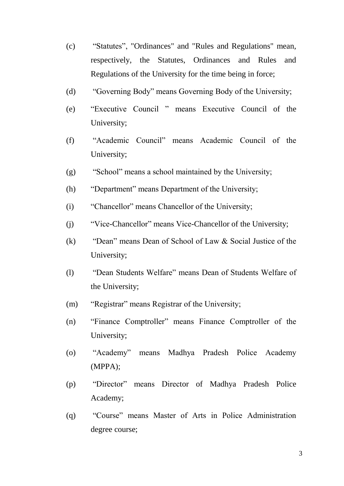- (c) "Statutes", "Ordinances" and "Rules and Regulations" mean, respectively, the Statutes, Ordinances and Rules and Regulations of the University for the time being in force;
- (d) "Governing Body" means Governing Body of the University;
- (e) "Executive Council " means Executive Council of the University;
- (f) "Academic Council" means Academic Council of the University;
- (g) "School" means a school maintained by the University;
- (h) "Department" means Department of the University;
- (i) "Chancellor" means Chancellor of the University;
- (j) "Vice-Chancellor" means Vice-Chancellor of the University;
- (k) "Dean" means Dean of School of Law & Social Justice of the University;
- (l) "Dean Students Welfare" means Dean of Students Welfare of the University;
- (m) "Registrar" means Registrar of the University;
- (n) "Finance Comptroller" means Finance Comptroller of the University;
- (o) "Academy" means Madhya Pradesh Police Academy (MPPA);
- (p) "Director" means Director of Madhya Pradesh Police Academy;
- (q) "Course" means Master of Arts in Police Administration degree course;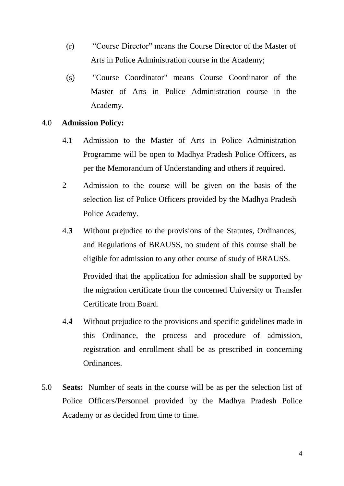- (r) "Course Director" means the Course Director of the Master of Arts in Police Administration course in the Academy;
- (s) "Course Coordinator" means Course Coordinator of the Master of Arts in Police Administration course in the Academy.

#### 4.0 **Admission Policy:**

- 4.1 Admission to the Master of Arts in Police Administration Programme will be open to Madhya Pradesh Police Officers, as per the Memorandum of Understanding and others if required.
- 2 Admission to the course will be given on the basis of the selection list of Police Officers provided by the Madhya Pradesh Police Academy.
- 4.**3** Without prejudice to the provisions of the Statutes, Ordinances, and Regulations of BRAUSS, no student of this course shall be eligible for admission to any other course of study of BRAUSS. Provided that the application for admission shall be supported by the migration certificate from the concerned University or Transfer Certificate from Board.
- 4.**4** Without prejudice to the provisions and specific guidelines made in this Ordinance, the process and procedure of admission, registration and enrollment shall be as prescribed in concerning Ordinances.
- 5.0 **Seats:** Number of seats in the course will be as per the selection list of Police Officers/Personnel provided by the Madhya Pradesh Police Academy or as decided from time to time.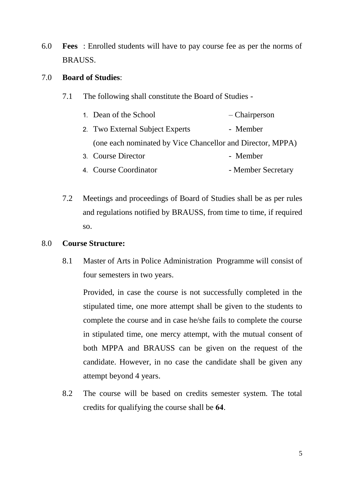6.0 **Fees** : Enrolled students will have to pay course fee as per the norms of BRAUSS.

#### 7.0 **Board of Studies**:

- 7.1 The following shall constitute the Board of Studies
	- 1. Dean of the School Chairperson 2. Two External Subject Experts - Member (one each nominated by Vice Chancellor and Director, MPPA) 3 Course Director - Member
	- 4. Course Coordinator Member Secretary
- 7.2 Meetings and proceedings of Board of Studies shall be as per rules and regulations notified by BRAUSS, from time to time, if required so.

#### 8.0 **Course Structure:**

8.1 Master of Arts in Police Administration Programme will consist of four semesters in two years.

Provided, in case the course is not successfully completed in the stipulated time, one more attempt shall be given to the students to complete the course and in case he/she fails to complete the course in stipulated time, one mercy attempt, with the mutual consent of both MPPA and BRAUSS can be given on the request of the candidate. However, in no case the candidate shall be given any attempt beyond 4 years.

8.2 The course will be based on credits semester system. The total credits for qualifying the course shall be **64**.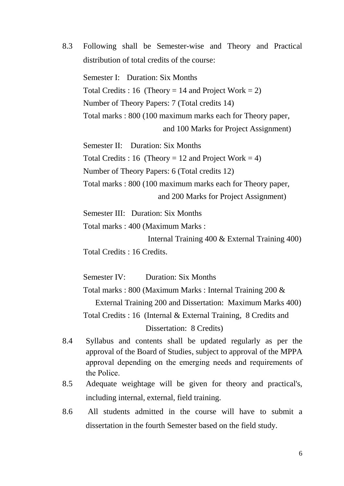8.3 Following shall be Semester-wise and Theory and Practical distribution of total credits of the course:

Semester I: Duration: Six Months Total Credits : 16 (Theory = 14 and Project Work = 2) Number of Theory Papers: 7 (Total credits 14) Total marks : 800 (100 maximum marks each for Theory paper, and 100 Marks for Project Assignment)

Semester II: Duration: Six Months Total Credits : 16 (Theory = 12 and Project Work = 4) Number of Theory Papers: 6 (Total credits 12) Total marks : 800 (100 maximum marks each for Theory paper, and 200 Marks for Project Assignment)

Semester III: Duration: Six Months

Total marks : 400 (Maximum Marks :

Internal Training 400 & External Training 400)

Total Credits : 16 Credits.

Semester IV: Duration: Six Months

Total marks : 800 (Maximum Marks : Internal Training 200 & External Training 200 and Dissertation: Maximum Marks 400) Total Credits : 16 (Internal & External Training, 8 Credits and Dissertation: 8 Credits)

- 8.4 Syllabus and contents shall be updated regularly as per the approval of the Board of Studies, subject to approval of the MPPA approval depending on the emerging needs and requirements of the Police.
- 8.5 Adequate weightage will be given for theory and practical's, including internal, external, field training.
- 8.6 All students admitted in the course will have to submit a dissertation in the fourth Semester based on the field study.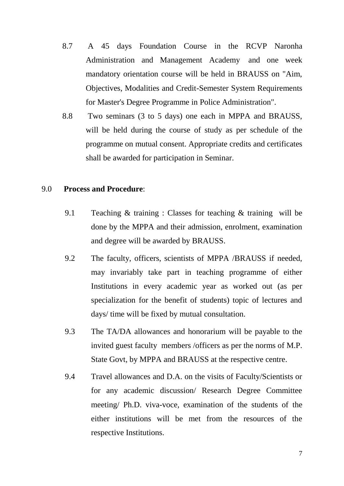- 8.7 A 45 days Foundation Course in the RCVP Naronha Administration and Management Academy and one week mandatory orientation course will be held in BRAUSS on "Aim, Objectives, Modalities and Credit-Semester System Requirements for Master's Degree Programme in Police Administration".
- 8.8 Two seminars (3 to 5 days) one each in MPPA and BRAUSS, will be held during the course of study as per schedule of the programme on mutual consent. Appropriate credits and certificates shall be awarded for participation in Seminar.

#### 9.0 **Process and Procedure**:

- 9.1 Teaching & training : Classes for teaching & training will be done by the MPPA and their admission, enrolment, examination and degree will be awarded by BRAUSS.
- 9.2 The faculty, officers, scientists of MPPA /BRAUSS if needed, may invariably take part in teaching programme of either Institutions in every academic year as worked out (as per specialization for the benefit of students) topic of lectures and days/ time will be fixed by mutual consultation.
- 9.3 The TA/DA allowances and honorarium will be payable to the invited guest faculty members /officers as per the norms of M.P. State Govt, by MPPA and BRAUSS at the respective centre.
- 9.4 Travel allowances and D.A. on the visits of Faculty/Scientists or for any academic discussion/ Research Degree Committee meeting/ Ph.D. viva-voce, examination of the students of the either institutions will be met from the resources of the respective Institutions.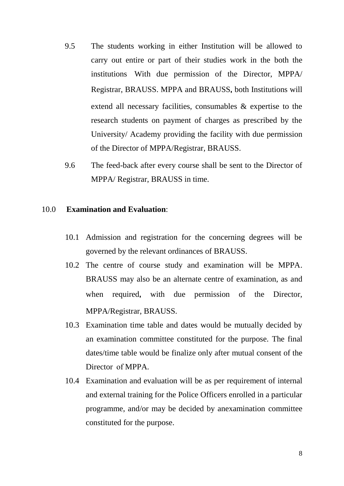- 9.5 The students working in either Institution will be allowed to carry out entire or part of their studies work in the both the institutions With due permission of the Director, MPPA/ Registrar, BRAUSS. MPPA and BRAUSS**,** both Institutions will extend all necessary facilities, consumables & expertise to the research students on payment of charges as prescribed by the University/ Academy providing the facility with due permission of the Director of MPPA/Registrar, BRAUSS.
- 9.6 The feed-back after every course shall be sent to the Director of MPPA/ Registrar, BRAUSS in time.

#### 10.0 **Examination and Evaluation**:

- 10.1 Admission and registration for the concerning degrees will be governed by the relevant ordinances of BRAUSS.
- 10.2 The centre of course study and examination will be MPPA. BRAUSS may also be an alternate centre of examination, as and when required**,** with due permission of the Director, MPPA/Registrar, BRAUSS.
- 10.3 Examination time table and dates would be mutually decided by an examination committee constituted for the purpose. The final dates/time table would be finalize only after mutual consent of the Director of MPPA.
- 10.4 Examination and evaluation will be as per requirement of internal and external training for the Police Officers enrolled in a particular programme, and/or may be decided by anexamination committee constituted for the purpose.